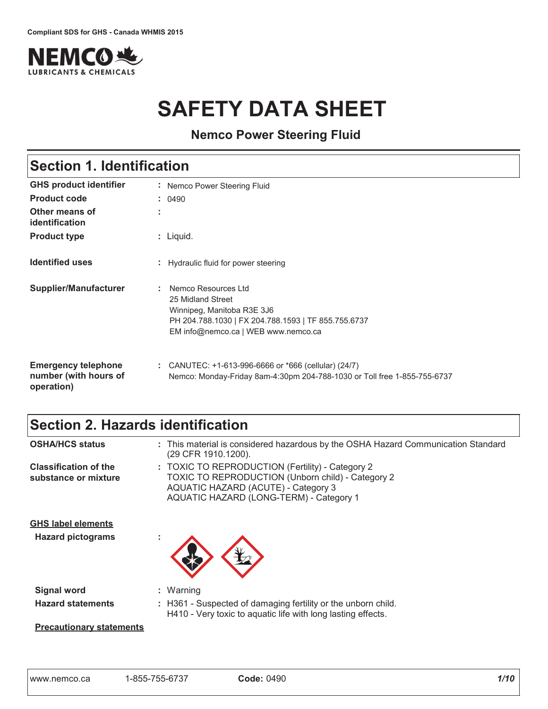

# **SAFETY DATA SHEET**

**Nemco Power Steering Fluid** 

| <b>Section 1. Identification</b>                                  |                                                                                                                                                                      |  |
|-------------------------------------------------------------------|----------------------------------------------------------------------------------------------------------------------------------------------------------------------|--|
| <b>GHS product identifier</b>                                     | Nemco Power Steering Fluid                                                                                                                                           |  |
| <b>Product code</b>                                               | : 0490                                                                                                                                                               |  |
| Other means of<br>identification                                  |                                                                                                                                                                      |  |
| <b>Product type</b>                                               | $:$ Liquid.                                                                                                                                                          |  |
| <b>Identified uses</b>                                            | Hydraulic fluid for power steering                                                                                                                                   |  |
| <b>Supplier/Manufacturer</b>                                      | Nemco Resources Ltd<br>25 Midland Street<br>Winnipeg, Manitoba R3E 3J6<br>PH 204.788.1030   FX 204.788.1593   TF 855.755.6737<br>EM info@nemco.ca   WEB www.nemco.ca |  |
| <b>Emergency telephone</b><br>number (with hours of<br>operation) | CANUTEC: +1-613-996-6666 or *666 (cellular) (24/7)<br>Nemco: Monday-Friday 8am-4:30pm 204-788-1030 or Toll free 1-855-755-6737                                       |  |

### Section 2. Hazards identification

| <b>OSHA/HCS status</b>                                | : This material is considered hazardous by the OSHA Hazard Communication Standard<br>(29 CFR 1910.1200).                                                                                       |
|-------------------------------------------------------|------------------------------------------------------------------------------------------------------------------------------------------------------------------------------------------------|
| <b>Classification of the</b><br>substance or mixture  | : TOXIC TO REPRODUCTION (Fertility) - Category 2<br><b>TOXIC TO REPRODUCTION (Unborn child) - Category 2</b><br>AQUATIC HAZARD (ACUTE) - Category 3<br>AQUATIC HAZARD (LONG-TERM) - Category 1 |
| <b>GHS label elements</b><br><b>Hazard pictograms</b> |                                                                                                                                                                                                |
| <b>Signal word</b>                                    | $:$ Warning                                                                                                                                                                                    |
| <b>Hazard statements</b>                              | : H361 - Suspected of damaging fertility or the unborn child.<br>H410 - Very toxic to aquatic life with long lasting effects.                                                                  |
|                                                       |                                                                                                                                                                                                |

**Precautionary statements**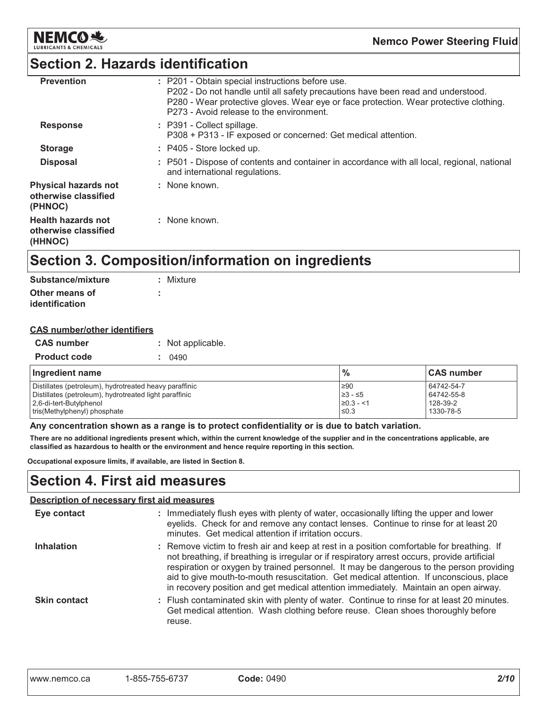

### Section 2. Hazards identification

| : P201 - Obtain special instructions before use.<br>P202 - Do not handle until all safety precautions have been read and understood.<br>P280 - Wear protective gloves. Wear eye or face protection. Wear protective clothing.<br>P273 - Avoid release to the environment. |
|---------------------------------------------------------------------------------------------------------------------------------------------------------------------------------------------------------------------------------------------------------------------------|
| : P391 - Collect spillage.<br>P308 + P313 - IF exposed or concerned: Get medical attention.                                                                                                                                                                               |
| : P405 - Store locked up.                                                                                                                                                                                                                                                 |
| : P501 - Dispose of contents and container in accordance with all local, regional, national<br>and international regulations.                                                                                                                                             |
| : None known.                                                                                                                                                                                                                                                             |
| : None known.                                                                                                                                                                                                                                                             |
|                                                                                                                                                                                                                                                                           |

### Section 3. Composition/information on ingredients

| <b>Substance/mixture</b>         | : Mixture |
|----------------------------------|-----------|
| Other means of<br>identification |           |

| <b>CAS number/other identifiers</b> |  |
|-------------------------------------|--|
|                                     |  |

| <b>CAS number</b>   | : Not applicable. |
|---------------------|-------------------|
| <b>Product code</b> | 0490              |
|                     |                   |

| Ingredient name                                        | $\%$           | <b>CAS number</b> |
|--------------------------------------------------------|----------------|-------------------|
| Distillates (petroleum), hydrotreated heavy paraffinic | ,≥90           | 64742-54-7        |
| Distillates (petroleum), hydrotreated light paraffinic | $≥3 - ≤5$      | 64742-55-8        |
| 2.6-di-tert-Butylphenol                                | $\geq 0.3 - 1$ | 128-39-2          |
| tris (Methylphenyl) phosphate                          | $\leq 0.3$     | 1330-78-5         |

Any concentration shown as a range is to protect confidentiality or is due to batch variation.

There are no additional ingredients present which, within the current knowledge of the supplier and in the concentrations applicable, are classified as hazardous to health or the environment and hence require reporting in this section.

Occupational exposure limits, if available, are listed in Section 8.

### Section 4. First aid measures

| <b>Description of necessary first aid measures</b> |                                                                                                                                                                                                                                                                                                                                                                                                                                                                        |  |
|----------------------------------------------------|------------------------------------------------------------------------------------------------------------------------------------------------------------------------------------------------------------------------------------------------------------------------------------------------------------------------------------------------------------------------------------------------------------------------------------------------------------------------|--|
| Eye contact                                        | : Immediately flush eyes with plenty of water, occasionally lifting the upper and lower<br>eyelids. Check for and remove any contact lenses. Continue to rinse for at least 20<br>minutes. Get medical attention if irritation occurs.                                                                                                                                                                                                                                 |  |
| <b>Inhalation</b>                                  | : Remove victim to fresh air and keep at rest in a position comfortable for breathing. If<br>not breathing, if breathing is irregular or if respiratory arrest occurs, provide artificial<br>respiration or oxygen by trained personnel. It may be dangerous to the person providing<br>aid to give mouth-to-mouth resuscitation. Get medical attention. If unconscious, place<br>in recovery position and get medical attention immediately. Maintain an open airway. |  |
| <b>Skin contact</b>                                | : Flush contaminated skin with plenty of water. Continue to rinse for at least 20 minutes.<br>Get medical attention. Wash clothing before reuse. Clean shoes thoroughly before<br>reuse.                                                                                                                                                                                                                                                                               |  |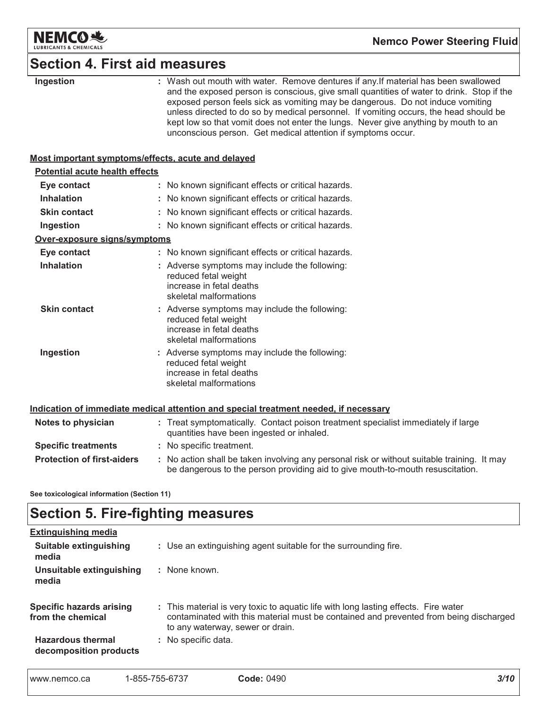

### **Section 4. First aid measures**

|  | Ingestion |  |
|--|-----------|--|
|--|-----------|--|

: Wash out mouth with water. Remove dentures if any. If material has been swallowed and the exposed person is conscious, give small quantities of water to drink. Stop if the exposed person feels sick as vomiting may be dangerous. Do not induce vomiting unless directed to do so by medical personnel. If vomiting occurs, the head should be kept low so that vomit does not enter the lungs. Never give anything by mouth to an unconscious person. Get medical attention if symptoms occur.

#### Most important symptoms/effects, acute and delayed

| <b>Potential acute health effects</b> |                                                                                                                                                                               |  |
|---------------------------------------|-------------------------------------------------------------------------------------------------------------------------------------------------------------------------------|--|
| Eye contact                           | : No known significant effects or critical hazards.                                                                                                                           |  |
| <b>Inhalation</b>                     | : No known significant effects or critical hazards.                                                                                                                           |  |
| <b>Skin contact</b>                   | : No known significant effects or critical hazards.                                                                                                                           |  |
| Ingestion                             | : No known significant effects or critical hazards.                                                                                                                           |  |
| Over-exposure signs/symptoms          |                                                                                                                                                                               |  |
| Eye contact                           | : No known significant effects or critical hazards.                                                                                                                           |  |
| <b>Inhalation</b>                     | : Adverse symptoms may include the following:<br>reduced fetal weight<br>increase in fetal deaths<br>skeletal malformations                                                   |  |
| <b>Skin contact</b>                   | : Adverse symptoms may include the following:<br>reduced fetal weight<br>increase in fetal deaths<br>skeletal malformations                                                   |  |
| Ingestion                             | : Adverse symptoms may include the following:<br>reduced fetal weight<br>increase in fetal deaths<br>skeletal malformations                                                   |  |
|                                       | Indication of immediate medical attention and special treatment needed, if necessary                                                                                          |  |
| Notes to physician                    | : Treat symptomatically. Contact poison treatment specialist immediately if large<br>quantities have been ingested or inhaled.                                                |  |
| <b>Specific treatments</b>            | : No specific treatment.                                                                                                                                                      |  |
| <b>Protection of first-aiders</b>     | : No action shall be taken involving any personal risk or without suitable training. It may<br>be dangerous to the person providing aid to give mouth-to-mouth resuscitation. |  |

See toxicological information (Section 11)

### **Section 5. Fire-fighting measures**

| <b>Extinguishing media</b>                           |                                                                                                                                                                                                                  |
|------------------------------------------------------|------------------------------------------------------------------------------------------------------------------------------------------------------------------------------------------------------------------|
| Suitable extinguishing<br>media                      | : Use an extinguishing agent suitable for the surrounding fire.                                                                                                                                                  |
| Unsuitable extinguishing<br>media                    | : None known.                                                                                                                                                                                                    |
| <b>Specific hazards arising</b><br>from the chemical | : This material is very toxic to aquatic life with long lasting effects. Fire water<br>contaminated with this material must be contained and prevented from being discharged<br>to any waterway, sewer or drain. |
| <b>Hazardous thermal</b><br>decomposition products   | : No specific data.                                                                                                                                                                                              |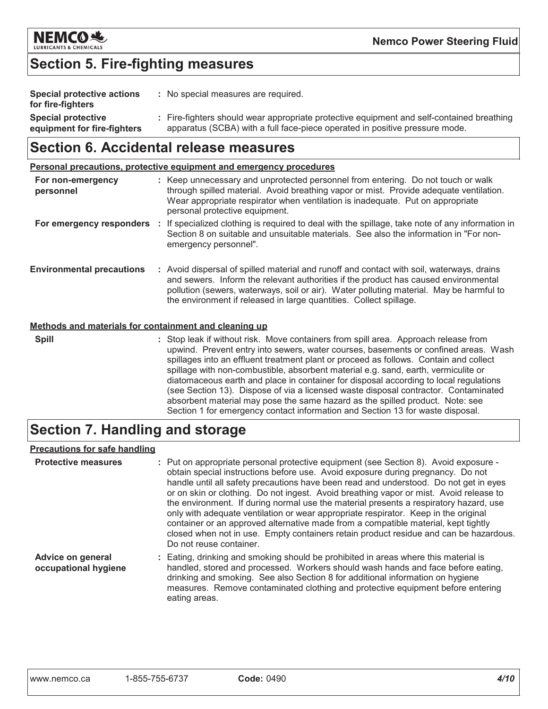

### **Section 5. Fire-fighting measures**

| Special protective actions<br>for fire-fighters          | : No special measures are required.                                                                                                                                      |
|----------------------------------------------------------|--------------------------------------------------------------------------------------------------------------------------------------------------------------------------|
| <b>Special protective</b><br>equipment for fire-fighters | : Fire-fighters should wear appropriate protective equipment and self-contained breathing<br>apparatus (SCBA) with a full face-piece operated in positive pressure mode. |

### Section 6. Accidental release measures

Personal precautions, protective equipment and emergency procedures

| For non-emergency<br>personnel                        | : Keep unnecessary and unprotected personnel from entering. Do not touch or walk<br>through spilled material. Avoid breathing vapor or mist. Provide adequate ventilation.<br>Wear appropriate respirator when ventilation is inadequate. Put on appropriate<br>personal protective equipment.                                                                                                                                                                                                                                                                                                                                                                                                              |
|-------------------------------------------------------|-------------------------------------------------------------------------------------------------------------------------------------------------------------------------------------------------------------------------------------------------------------------------------------------------------------------------------------------------------------------------------------------------------------------------------------------------------------------------------------------------------------------------------------------------------------------------------------------------------------------------------------------------------------------------------------------------------------|
| For emergency responders                              | : If specialized clothing is required to deal with the spillage, take note of any information in<br>Section 8 on suitable and unsuitable materials. See also the information in "For non-<br>emergency personnel".                                                                                                                                                                                                                                                                                                                                                                                                                                                                                          |
| <b>Environmental precautions</b>                      | : Avoid dispersal of spilled material and runoff and contact with soil, waterways, drains<br>and sewers. Inform the relevant authorities if the product has caused environmental<br>pollution (sewers, waterways, soil or air). Water polluting material. May be harmful to<br>the environment if released in large quantities. Collect spillage.                                                                                                                                                                                                                                                                                                                                                           |
| Methods and materials for containment and cleaning up |                                                                                                                                                                                                                                                                                                                                                                                                                                                                                                                                                                                                                                                                                                             |
| <b>Spill</b>                                          | : Stop leak if without risk. Move containers from spill area. Approach release from<br>upwind. Prevent entry into sewers, water courses, basements or confined areas. Wash<br>spillages into an effluent treatment plant or proceed as follows. Contain and collect<br>spillage with non-combustible, absorbent material e.g. sand, earth, vermiculite or<br>diatomaceous earth and place in container for disposal according to local regulations<br>(see Section 13). Dispose of via a licensed waste disposal contractor. Contaminated<br>absorbent material may pose the same hazard as the spilled product. Note: see<br>Section 1 for emergency contact information and Section 13 for waste disposal |

### **Section 7. Handling and storage**

#### **Precautions for safe handling**

| <b>Protective measures</b>                       | : Put on appropriate personal protective equipment (see Section 8). Avoid exposure -<br>obtain special instructions before use. Avoid exposure during pregnancy. Do not<br>handle until all safety precautions have been read and understood. Do not get in eyes<br>or on skin or clothing. Do not ingest. Avoid breathing vapor or mist. Avoid release to<br>the environment. If during normal use the material presents a respiratory hazard, use<br>only with adequate ventilation or wear appropriate respirator. Keep in the original<br>container or an approved alternative made from a compatible material, kept tightly<br>closed when not in use. Empty containers retain product residue and can be hazardous.<br>Do not reuse container. |
|--------------------------------------------------|------------------------------------------------------------------------------------------------------------------------------------------------------------------------------------------------------------------------------------------------------------------------------------------------------------------------------------------------------------------------------------------------------------------------------------------------------------------------------------------------------------------------------------------------------------------------------------------------------------------------------------------------------------------------------------------------------------------------------------------------------|
| <b>Advice on general</b><br>occupational hygiene | : Eating, drinking and smoking should be prohibited in areas where this material is<br>handled, stored and processed. Workers should wash hands and face before eating,<br>drinking and smoking. See also Section 8 for additional information on hygiene<br>measures. Remove contaminated clothing and protective equipment before entering<br>eating areas.                                                                                                                                                                                                                                                                                                                                                                                        |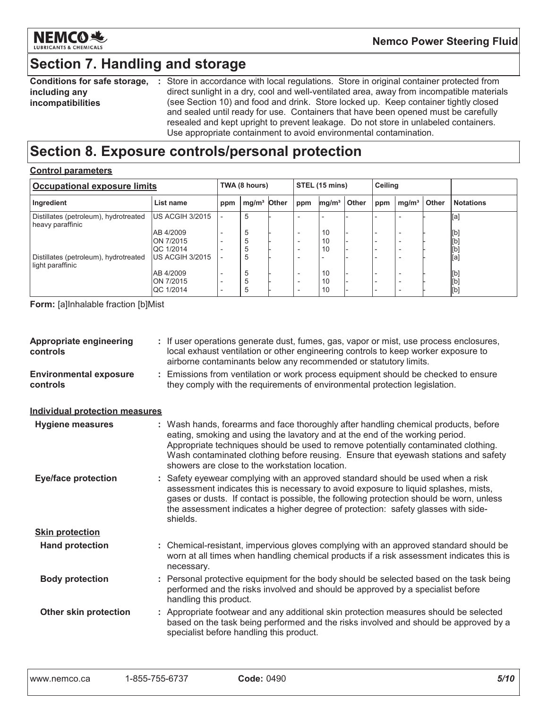

### Section 7. Handling and storage

**Conditions for safe storage,** : Store in accordance with local regulations. Store in original container protected from including any incompatibilities direct sunlight in a dry, cool and well-ventilated area, away from incompatible materials (see Section 10) and food and drink. Store locked up. Keep container tightly closed and sealed until ready for use. Containers that have been opened must be carefully resealed and kept upright to prevent leakage. Do not store in unlabeled containers. Use appropriate containment to avoid environmental contamination.

### Section 8. Exposure controls/personal protection

#### **Control parameters**

| <b>Occupational exposure limits</b>                       |                               | TWA (8 hours) |                         | STEL (15 mins) |                          | <b>Ceiling</b>    |       |     |                          |       |                  |
|-----------------------------------------------------------|-------------------------------|---------------|-------------------------|----------------|--------------------------|-------------------|-------|-----|--------------------------|-------|------------------|
| Ingredient                                                | List name                     | ppm           | mg/m <sup>3</sup> Other |                | ppm                      | mg/m <sup>3</sup> | Other | ppm | mg/m <sup>3</sup>        | Other | <b>Notations</b> |
| Distillates (petroleum), hydrotreated<br>heavy paraffinic | US ACGIH 3/2015               |               | 5                       |                |                          |                   |       |     |                          |       | [a]              |
|                                                           | AB 4/2009                     |               | 5                       |                |                          | 10                |       |     |                          |       | [b]              |
|                                                           | ON 7/2015<br><b>QC 1/2014</b> |               | 5<br>5                  |                |                          | 10<br>10          |       |     |                          |       | [b]<br>[b]       |
| Distillates (petroleum), hydrotreated<br>light paraffinic | US ACGIH 3/2015               |               | 5                       |                |                          |                   |       |     |                          |       | [a]              |
|                                                           | AB 4/2009                     |               | 5                       |                |                          | 10                |       |     |                          |       | [b]              |
|                                                           | ON 7/2015<br><b>QC 1/2014</b> |               | 5<br>5                  |                | $\overline{\phantom{a}}$ | 10<br>10          |       |     | $\overline{\phantom{a}}$ |       | [b]<br>[b]       |

**Form:** [a]Inhalable fraction [b]Mist

| <b>Appropriate engineering</b><br>controls | : If user operations generate dust, fumes, gas, vapor or mist, use process enclosures,<br>local exhaust ventilation or other engineering controls to keep worker exposure to<br>airborne contaminants below any recommended or statutory limits.                                                                                                                                                  |
|--------------------------------------------|---------------------------------------------------------------------------------------------------------------------------------------------------------------------------------------------------------------------------------------------------------------------------------------------------------------------------------------------------------------------------------------------------|
| <b>Environmental exposure</b><br>controls  | : Emissions from ventilation or work process equipment should be checked to ensure<br>they comply with the requirements of environmental protection legislation.                                                                                                                                                                                                                                  |
| <b>Individual protection measures</b>      |                                                                                                                                                                                                                                                                                                                                                                                                   |
| <b>Hygiene measures</b>                    | : Wash hands, forearms and face thoroughly after handling chemical products, before<br>eating, smoking and using the lavatory and at the end of the working period.<br>Appropriate techniques should be used to remove potentially contaminated clothing.<br>Wash contaminated clothing before reusing. Ensure that eyewash stations and safety<br>showers are close to the workstation location. |
| <b>Eye/face protection</b>                 | : Safety eyewear complying with an approved standard should be used when a risk<br>assessment indicates this is necessary to avoid exposure to liquid splashes, mists,<br>gases or dusts. If contact is possible, the following protection should be worn, unless<br>the assessment indicates a higher degree of protection: safety glasses with side-<br>shields.                                |
| <b>Skin protection</b>                     |                                                                                                                                                                                                                                                                                                                                                                                                   |
| <b>Hand protection</b>                     | : Chemical-resistant, impervious gloves complying with an approved standard should be<br>worn at all times when handling chemical products if a risk assessment indicates this is<br>necessary.                                                                                                                                                                                                   |
| <b>Body protection</b>                     | : Personal protective equipment for the body should be selected based on the task being<br>performed and the risks involved and should be approved by a specialist before<br>handling this product.                                                                                                                                                                                               |
| Other skin protection                      | : Appropriate footwear and any additional skin protection measures should be selected<br>based on the task being performed and the risks involved and should be approved by a<br>specialist before handling this product.                                                                                                                                                                         |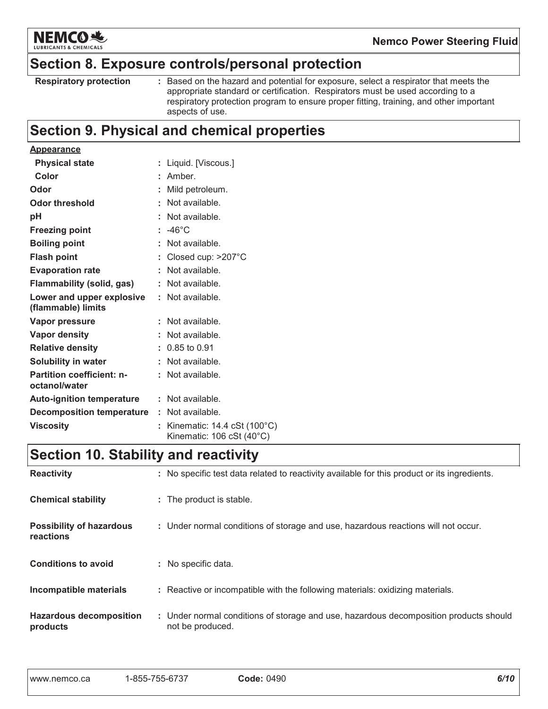

### Section 8. Exposure controls/personal protection

| <b>Respiratory protection</b> |  |  |
|-------------------------------|--|--|
|-------------------------------|--|--|

: Based on the hazard and potential for exposure, select a respirator that meets the appropriate standard or certification. Respirators must be used according to a respiratory protection program to ensure proper fitting, training, and other important aspects of use.

### **Section 9. Physical and chemical properties**

| <b>Appearance</b>                                 |                                                                                    |
|---------------------------------------------------|------------------------------------------------------------------------------------|
| <b>Physical state</b>                             | Liquid. [Viscous.]                                                                 |
| Color                                             | Amber.                                                                             |
| Odor                                              | Mild petroleum.                                                                    |
| <b>Odor threshold</b>                             | Not available.                                                                     |
| рH                                                | Not available.                                                                     |
| <b>Freezing point</b>                             | $: -46^{\circ}$ C                                                                  |
| <b>Boiling point</b>                              | Not available.                                                                     |
| <b>Flash point</b>                                | Closed cup: >207°C                                                                 |
| <b>Evaporation rate</b>                           | Not available.                                                                     |
| <b>Flammability (solid, gas)</b>                  | Not available.                                                                     |
| Lower and upper explosive<br>(flammable) limits   | : Not available.                                                                   |
|                                                   |                                                                                    |
| Vapor pressure                                    | Not available.                                                                     |
| <b>Vapor density</b>                              | Not available.                                                                     |
| <b>Relative density</b>                           | $: 0.85$ to 0.91                                                                   |
| <b>Solubility in water</b>                        | Not available.                                                                     |
| <b>Partition coefficient: n-</b><br>octanol/water | Not available.                                                                     |
| <b>Auto-ignition temperature</b>                  | $:$ Not available.                                                                 |
| <b>Decomposition temperature : Not available.</b> |                                                                                    |
| <b>Viscosity</b>                                  | Kinematic: $14.4 \text{ cSt } (100^{\circ} \text{C})$<br>Kinematic: 106 cSt (40°C) |

### **Section 10. Stability and reactivity**

| <b>Reactivity</b>                            | : No specific test data related to reactivity available for this product or its ingredients.              |
|----------------------------------------------|-----------------------------------------------------------------------------------------------------------|
| <b>Chemical stability</b>                    | : The product is stable.                                                                                  |
| <b>Possibility of hazardous</b><br>reactions | : Under normal conditions of storage and use, hazardous reactions will not occur.                         |
| <b>Conditions to avoid</b>                   | : No specific data.                                                                                       |
| Incompatible materials                       | : Reactive or incompatible with the following materials: oxidizing materials.                             |
| <b>Hazardous decomposition</b><br>products   | : Under normal conditions of storage and use, hazardous decomposition products should<br>not be produced. |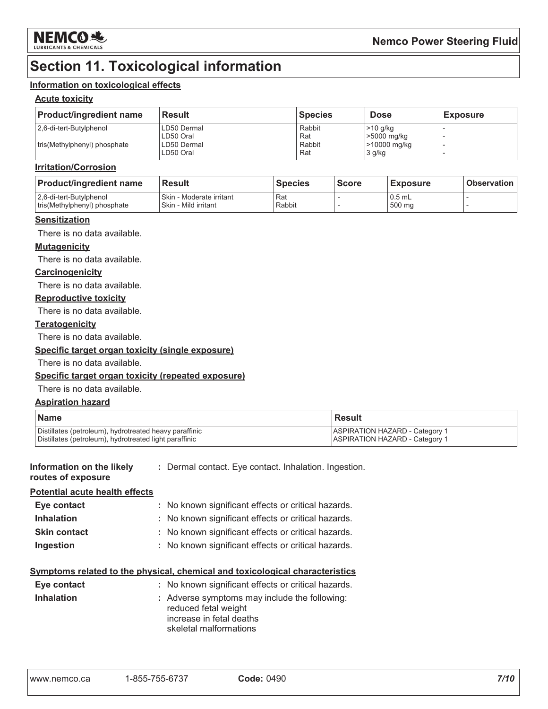

### **Section 11. Toxicological information**

#### Information on toxicological effects

#### **Acute toxicity**

| <b>Product/ingredient name</b> | <b>Result</b>            | <b>Species</b> | <b>Dose</b>               | <b>Exposure</b> |
|--------------------------------|--------------------------|----------------|---------------------------|-----------------|
| 2.6-di-tert-Butylphenol        | LD50 Dermal<br>LD50 Oral | Rabbit<br>Rat  | $>10$ g/kg<br>>5000 mg/kg |                 |
| tris (Methylphenyl) phosphate  | LD50 Dermal<br>LD50 Oral | Rabbit<br>Rat  | >10000 mg/kg<br>3 g/kg    |                 |

#### **Irritation/Corrosion**

| <b>Product/ingredient name</b>                          | <b>Result</b>                                    | <b>Species</b> | <b>Score</b> | ⊦Exposure           | <b>Observation</b> |
|---------------------------------------------------------|--------------------------------------------------|----------------|--------------|---------------------|--------------------|
| 2,6-di-tert-Butylphenol<br>tris(Methylphenyl) phosphate | Skin - Moderate irritant<br>Skin - Mild irritant | Rat<br>Rabbit  |              | $10.5$ mL<br>500 mg |                    |

#### **Sensitization**

There is no data available.

#### **Mutagenicity**

There is no data available.

#### Carcinogenicity

There is no data available.

#### **Reproductive toxicity**

There is no data available.

#### **Teratogenicity**

There is no data available.

#### Specific target organ toxicity (single exposure)

There is no data available.

#### Specific target organ toxicity (repeated exposure)

There is no data available.

#### **Aspiration hazard**

| <b>Name</b>                                            | <b>Result</b>                         |
|--------------------------------------------------------|---------------------------------------|
| Distillates (petroleum), hydrotreated heavy paraffinic | ASPIRATION HAZARD - Category 1        |
| Distillates (petroleum), hydrotreated light paraffinic | <b>ASPIRATION HAZARD - Category 1</b> |

#### Information on the likely : Dermal contact. Eye contact. Inhalation. Ingestion. routes of exposure

#### Potential acute health effects

| Eye contact         | : No known significant effects or critical hazards. |
|---------------------|-----------------------------------------------------|
| <b>Inhalation</b>   | : No known significant effects or critical hazards. |
| <b>Skin contact</b> | : No known significant effects or critical hazards. |
| Ingestion           | : No known significant effects or critical hazards. |

### Symptoms related to the physical, chemical and toxicological characteristics

| Eye contact       | : No known significant effects or critical hazards.                                                                         |
|-------------------|-----------------------------------------------------------------------------------------------------------------------------|
| <b>Inhalation</b> | : Adverse symptoms may include the following:<br>reduced fetal weight<br>increase in fetal deaths<br>skeletal malformations |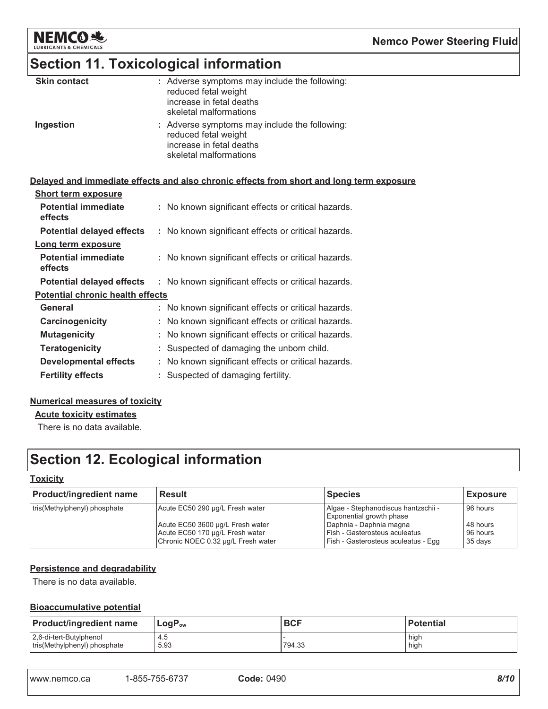

### **Section 11. Toxicological information**

| <b>Skin contact</b> | : Adverse symptoms may include the following:<br>reduced fetal weight<br>increase in fetal deaths<br>skeletal malformations |
|---------------------|-----------------------------------------------------------------------------------------------------------------------------|
| Ingestion           | : Adverse symptoms may include the following:<br>reduced fetal weight<br>increase in fetal deaths<br>skeletal malformations |

#### Delayed and immediate effects and also chronic effects from short and long term exposure

| <b>Short term exposure</b>              |                                                     |
|-----------------------------------------|-----------------------------------------------------|
| <b>Potential immediate</b><br>effects   | : No known significant effects or critical hazards. |
| <b>Potential delayed effects</b>        | : No known significant effects or critical hazards. |
| Long term exposure                      |                                                     |
| <b>Potential immediate</b><br>effects   | : No known significant effects or critical hazards. |
| <b>Potential delayed effects</b>        | : No known significant effects or critical hazards. |
| <b>Potential chronic health effects</b> |                                                     |
| General                                 | : No known significant effects or critical hazards. |
| Carcinogenicity                         | : No known significant effects or critical hazards. |
| <b>Mutagenicity</b>                     | : No known significant effects or critical hazards. |
| <b>Teratogenicity</b>                   | Suspected of damaging the unborn child.             |
| <b>Developmental effects</b>            | : No known significant effects or critical hazards. |
| <b>Fertility effects</b>                | Suspected of damaging fertility.                    |

#### **Numerical measures of toxicity**

**Acute toxicity estimates** 

There is no data available.

## **Section 12. Ecological information**

#### **Toxicity**

| <b>Product/ingredient name</b> | <b>Result</b>                                                                                                                                | <b>Species</b>                                                                                                                                                     | <b>Exposure</b>                             |
|--------------------------------|----------------------------------------------------------------------------------------------------------------------------------------------|--------------------------------------------------------------------------------------------------------------------------------------------------------------------|---------------------------------------------|
| tris(Methylphenyl) phosphate   | Acute EC50 290 µg/L Fresh water<br>Acute EC50 3600 µg/L Fresh water<br>Acute EC50 170 µg/L Fresh water<br>Chronic NOEC 0.32 µg/L Fresh water | Algae - Stephanodiscus hantzschii -<br>Exponential growth phase<br>Daphnia - Daphnia magna<br>Fish - Gasterosteus aculeatus<br>Fish - Gasterosteus aculeatus - Egg | 96 hours<br>48 hours<br>96 hours<br>35 days |

#### **Persistence and degradability**

There is no data available.

#### **Bioaccumulative potential**

| <b>Product/ingredient name</b> | $LogP_{ow}$ | <b>BCF</b> | <b>Potential</b> |
|--------------------------------|-------------|------------|------------------|
| 2,6-di-tert-Butylphenol        | 4.5         | 794.33     | high             |
| tris(Methylphenyl) phosphate   | 5.93        |            | high             |

| www.nemco.ca | 1-855-755-6737 | <b>Code: 0490</b> | 8/10 |
|--------------|----------------|-------------------|------|
|              |                |                   |      |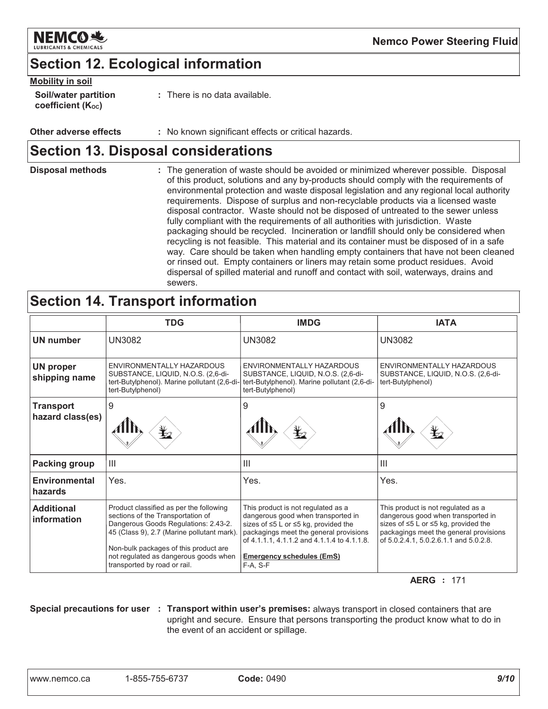

### **Section 12. Ecological information**

| <b>Mobility in soil</b> |  |
|-------------------------|--|
|                         |  |

| _____<br><b>Soil/water partition</b><br>coefficient (K <sub>oc</sub> ) | $:$ There is no data available. |
|------------------------------------------------------------------------|---------------------------------|
|                                                                        |                                 |

**Other adverse effects** : No known significant effects or critical hazards.

### **Section 13. Disposal considerations**

**Disposal methods** : The generation of waste should be avoided or minimized wherever possible. Disposal of this product, solutions and any by-products should comply with the requirements of environmental protection and waste disposal legislation and any regional local authority requirements. Dispose of surplus and non-recyclable products via a licensed waste disposal contractor. Waste should not be disposed of untreated to the sewer unless fully compliant with the requirements of all authorities with jurisdiction. Waste packaging should be recycled. Incineration or landfill should only be considered when recycling is not feasible. This material and its container must be disposed of in a safe way. Care should be taken when handling empty containers that have not been cleaned or rinsed out. Empty containers or liners may retain some product residues. Avoid dispersal of spilled material and runoff and contact with soil, waterways, drains and sewers.

### **Section 14. Transport information**

|                                      | <b>TDG</b>                                                                                                                                                                                                                                                                           | <b>IMDG</b>                                                                                                                                                                                                                                                 | <b>IATA</b>                                                                                                                                                                                          |
|--------------------------------------|--------------------------------------------------------------------------------------------------------------------------------------------------------------------------------------------------------------------------------------------------------------------------------------|-------------------------------------------------------------------------------------------------------------------------------------------------------------------------------------------------------------------------------------------------------------|------------------------------------------------------------------------------------------------------------------------------------------------------------------------------------------------------|
| <b>UN number</b>                     | <b>UN3082</b>                                                                                                                                                                                                                                                                        | <b>UN3082</b>                                                                                                                                                                                                                                               | <b>UN3082</b>                                                                                                                                                                                        |
| <b>UN proper</b><br>shipping name    | ENVIRONMENTALLY HAZARDOUS<br>SUBSTANCE, LIQUID, N.O.S. (2,6-di-<br>tert-Butylphenol). Marine pollutant (2,6-di-<br>tert-Butylphenol)                                                                                                                                                 | ENVIRONMENTALLY HAZARDOUS<br>SUBSTANCE, LIQUID, N.O.S. (2,6-di-<br>tert-Butylphenol). Marine pollutant (2,6-di-<br>tert-Butylphenol)                                                                                                                        | ENVIRONMENTALLY HAZARDOUS<br>SUBSTANCE, LIQUID, N.O.S. (2,6-di-<br>tert-Butylphenol)                                                                                                                 |
| <b>Transport</b><br>hazard class(es) | 9                                                                                                                                                                                                                                                                                    | 9                                                                                                                                                                                                                                                           | 9                                                                                                                                                                                                    |
| Packing group                        | $\mathbf{III}$                                                                                                                                                                                                                                                                       | Ш                                                                                                                                                                                                                                                           | $\mathbf{III}$                                                                                                                                                                                       |
| Environmental<br>hazards             | Yes.                                                                                                                                                                                                                                                                                 | Yes.                                                                                                                                                                                                                                                        | Yes.                                                                                                                                                                                                 |
| <b>Additional</b><br>information     | Product classified as per the following<br>sections of the Transportation of<br>Dangerous Goods Regulations: 2.43-2.<br>45 (Class 9), 2.7 (Marine pollutant mark).<br>Non-bulk packages of this product are<br>not regulated as dangerous goods when<br>transported by road or rail. | This product is not regulated as a<br>dangerous good when transported in<br>sizes of ≤5 L or ≤5 kg, provided the<br>packagings meet the general provisions<br>of 4.1.1.1, 4.1.1.2 and 4.1.1.4 to 4.1.1.8.<br><b>Emergency schedules (EmS)</b><br>$F-A. S-F$ | This product is not regulated as a<br>dangerous good when transported in<br>sizes of ≤5 L or ≤5 kg, provided the<br>packagings meet the general provisions<br>of 5.0.2.4.1, 5.0.2.6.1.1 and 5.0.2.8. |

**AERG** : 171

Special precautions for user : Transport within user's premises: always transport in closed containers that are upright and secure. Ensure that persons transporting the product know what to do in the event of an accident or spillage.